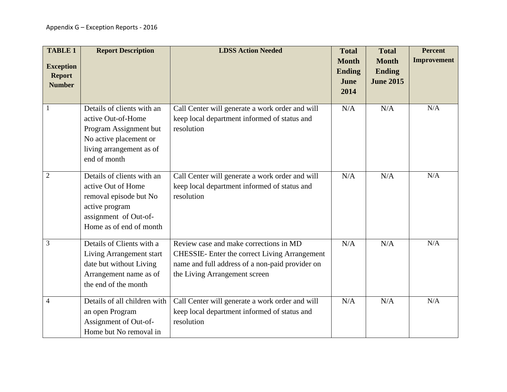| <b>TABLE 1</b><br><b>Exception</b><br><b>Report</b><br><b>Number</b> | <b>Report Description</b>                                                                                                                        | <b>LDSS Action Needed</b>                                                                                                                                                   | <b>Total</b><br><b>Month</b><br><b>Ending</b><br>June<br>2014 | <b>Total</b><br><b>Month</b><br><b>Ending</b><br><b>June 2015</b> | <b>Percent</b><br><b>Improvement</b> |
|----------------------------------------------------------------------|--------------------------------------------------------------------------------------------------------------------------------------------------|-----------------------------------------------------------------------------------------------------------------------------------------------------------------------------|---------------------------------------------------------------|-------------------------------------------------------------------|--------------------------------------|
| $\mathbf{1}$                                                         | Details of clients with an<br>active Out-of-Home<br>Program Assignment but<br>No active placement or<br>living arrangement as of<br>end of month | Call Center will generate a work order and will<br>keep local department informed of status and<br>resolution                                                               | N/A                                                           | N/A                                                               | N/A                                  |
| $\overline{2}$                                                       | Details of clients with an<br>active Out of Home<br>removal episode but No<br>active program<br>assignment of Out-of-<br>Home as of end of month | Call Center will generate a work order and will<br>keep local department informed of status and<br>resolution                                                               | N/A                                                           | N/A                                                               | N/A                                  |
| 3                                                                    | Details of Clients with a<br>Living Arrangement start<br>date but without Living<br>Arrangement name as of<br>the end of the month               | Review case and make corrections in MD<br>CHESSIE- Enter the correct Living Arrangement<br>name and full address of a non-paid provider on<br>the Living Arrangement screen | N/A                                                           | N/A                                                               | N/A                                  |
| $\overline{4}$                                                       | Details of all children with<br>an open Program<br>Assignment of Out-of-<br>Home but No removal in                                               | Call Center will generate a work order and will<br>keep local department informed of status and<br>resolution                                                               | N/A                                                           | N/A                                                               | N/A                                  |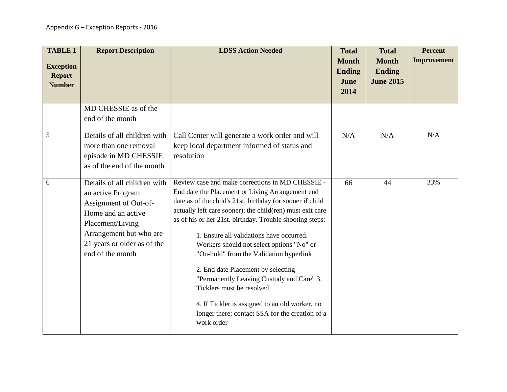| <b>TABLE 1</b><br><b>Exception</b><br><b>Report</b><br><b>Number</b> | <b>Report Description</b>                                                                                                                                                                          | <b>LDSS Action Needed</b>                                                                                                                                                                                                                                                                                                                                                                                                                                                                                                                                                                                                                                         | <b>Total</b><br><b>Month</b><br><b>Ending</b><br>June<br>2014 | <b>Total</b><br><b>Month</b><br><b>Ending</b><br><b>June 2015</b> | <b>Percent</b><br>Improvement |
|----------------------------------------------------------------------|----------------------------------------------------------------------------------------------------------------------------------------------------------------------------------------------------|-------------------------------------------------------------------------------------------------------------------------------------------------------------------------------------------------------------------------------------------------------------------------------------------------------------------------------------------------------------------------------------------------------------------------------------------------------------------------------------------------------------------------------------------------------------------------------------------------------------------------------------------------------------------|---------------------------------------------------------------|-------------------------------------------------------------------|-------------------------------|
|                                                                      | MD CHESSIE as of the<br>end of the month                                                                                                                                                           |                                                                                                                                                                                                                                                                                                                                                                                                                                                                                                                                                                                                                                                                   |                                                               |                                                                   |                               |
| 5                                                                    | Details of all children with<br>more than one removal<br>episode in MD CHESSIE<br>as of the end of the month                                                                                       | Call Center will generate a work order and will<br>keep local department informed of status and<br>resolution                                                                                                                                                                                                                                                                                                                                                                                                                                                                                                                                                     | N/A                                                           | N/A                                                               | N/A                           |
| 6                                                                    | Details of all children with<br>an active Program<br>Assignment of Out-of-<br>Home and an active<br>Placement/Living<br>Arrangement but who are<br>21 years or older as of the<br>end of the month | Review case and make corrections in MD CHESSIE -<br>End date the Placement or Living Arrangement end<br>date as of the child's 21st. birthday (or sooner if child<br>actually left care sooner); the child(ren) must exit care<br>as of his or her 21st. birthday. Trouble shooting steps:<br>1. Ensure all validations have occurred.<br>Workers should not select options "No" or<br>"On-hold" from the Validation hyperlink<br>2. End date Placement by selecting<br>"Permanently Leaving Custody and Care" 3.<br>Ticklers must be resolved<br>4. If Tickler is assigned to an old worker, no<br>longer there; contact SSA for the creation of a<br>work order | 66                                                            | 44                                                                | 33%                           |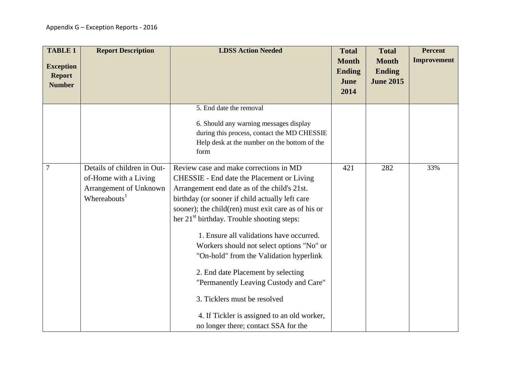| <b>TABLE 1</b><br><b>Exception</b><br><b>Report</b><br><b>Number</b> | <b>Report Description</b>                                                                                  | <b>LDSS Action Needed</b>                                                                                                                                                                                                                                                                                                                                                                                                                                                                                                                                                                                                                           | <b>Total</b><br><b>Month</b><br><b>Ending</b><br>June<br>2014 | <b>Total</b><br><b>Month</b><br><b>Ending</b><br><b>June 2015</b> | <b>Percent</b><br>Improvement |
|----------------------------------------------------------------------|------------------------------------------------------------------------------------------------------------|-----------------------------------------------------------------------------------------------------------------------------------------------------------------------------------------------------------------------------------------------------------------------------------------------------------------------------------------------------------------------------------------------------------------------------------------------------------------------------------------------------------------------------------------------------------------------------------------------------------------------------------------------------|---------------------------------------------------------------|-------------------------------------------------------------------|-------------------------------|
|                                                                      |                                                                                                            | 5. End date the removal<br>6. Should any warning messages display<br>during this process, contact the MD CHESSIE<br>Help desk at the number on the bottom of the<br>form                                                                                                                                                                                                                                                                                                                                                                                                                                                                            |                                                               |                                                                   |                               |
| $\overline{7}$                                                       | Details of children in Out-<br>of-Home with a Living<br>Arrangement of Unknown<br>Whereabouts <sup>1</sup> | Review case and make corrections in MD<br>CHESSIE - End date the Placement or Living<br>Arrangement end date as of the child's 21st.<br>birthday (or sooner if child actually left care<br>sooner); the child(ren) must exit care as of his or<br>her 21 <sup>st</sup> birthday. Trouble shooting steps:<br>1. Ensure all validations have occurred.<br>Workers should not select options "No" or<br>"On-hold" from the Validation hyperlink<br>2. End date Placement by selecting<br>"Permanently Leaving Custody and Care"<br>3. Ticklers must be resolved<br>4. If Tickler is assigned to an old worker,<br>no longer there; contact SSA for the | 421                                                           | 282                                                               | 33%                           |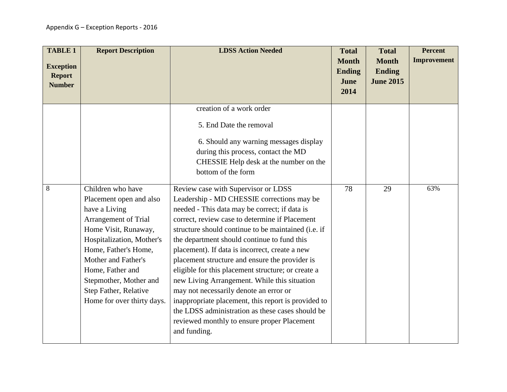| <b>TABLE 1</b><br><b>Exception</b><br><b>Report</b><br><b>Number</b> | <b>Report Description</b>                                                                                                                                                                                                                                                                      | <b>LDSS Action Needed</b>                                                                                                                                                                                                                                                                                                                                                                                                                                                                                                                                                                                                                                                                                                | <b>Total</b><br><b>Month</b><br><b>Ending</b><br>June<br>2014 | <b>Total</b><br><b>Month</b><br><b>Ending</b><br><b>June 2015</b> | <b>Percent</b><br><b>Improvement</b> |
|----------------------------------------------------------------------|------------------------------------------------------------------------------------------------------------------------------------------------------------------------------------------------------------------------------------------------------------------------------------------------|--------------------------------------------------------------------------------------------------------------------------------------------------------------------------------------------------------------------------------------------------------------------------------------------------------------------------------------------------------------------------------------------------------------------------------------------------------------------------------------------------------------------------------------------------------------------------------------------------------------------------------------------------------------------------------------------------------------------------|---------------------------------------------------------------|-------------------------------------------------------------------|--------------------------------------|
|                                                                      |                                                                                                                                                                                                                                                                                                | creation of a work order<br>5. End Date the removal<br>6. Should any warning messages display<br>during this process, contact the MD<br>CHESSIE Help desk at the number on the<br>bottom of the form                                                                                                                                                                                                                                                                                                                                                                                                                                                                                                                     |                                                               |                                                                   |                                      |
| 8                                                                    | Children who have<br>Placement open and also<br>have a Living<br>Arrangement of Trial<br>Home Visit, Runaway,<br>Hospitalization, Mother's<br>Home, Father's Home,<br>Mother and Father's<br>Home, Father and<br>Stepmother, Mother and<br>Step Father, Relative<br>Home for over thirty days. | Review case with Supervisor or LDSS<br>Leadership - MD CHESSIE corrections may be<br>needed - This data may be correct; if data is<br>correct, review case to determine if Placement<br>structure should continue to be maintained (i.e. if<br>the department should continue to fund this<br>placement). If data is incorrect, create a new<br>placement structure and ensure the provider is<br>eligible for this placement structure; or create a<br>new Living Arrangement. While this situation<br>may not necessarily denote an error or<br>inappropriate placement, this report is provided to<br>the LDSS administration as these cases should be<br>reviewed monthly to ensure proper Placement<br>and funding. | 78                                                            | 29                                                                | 63%                                  |